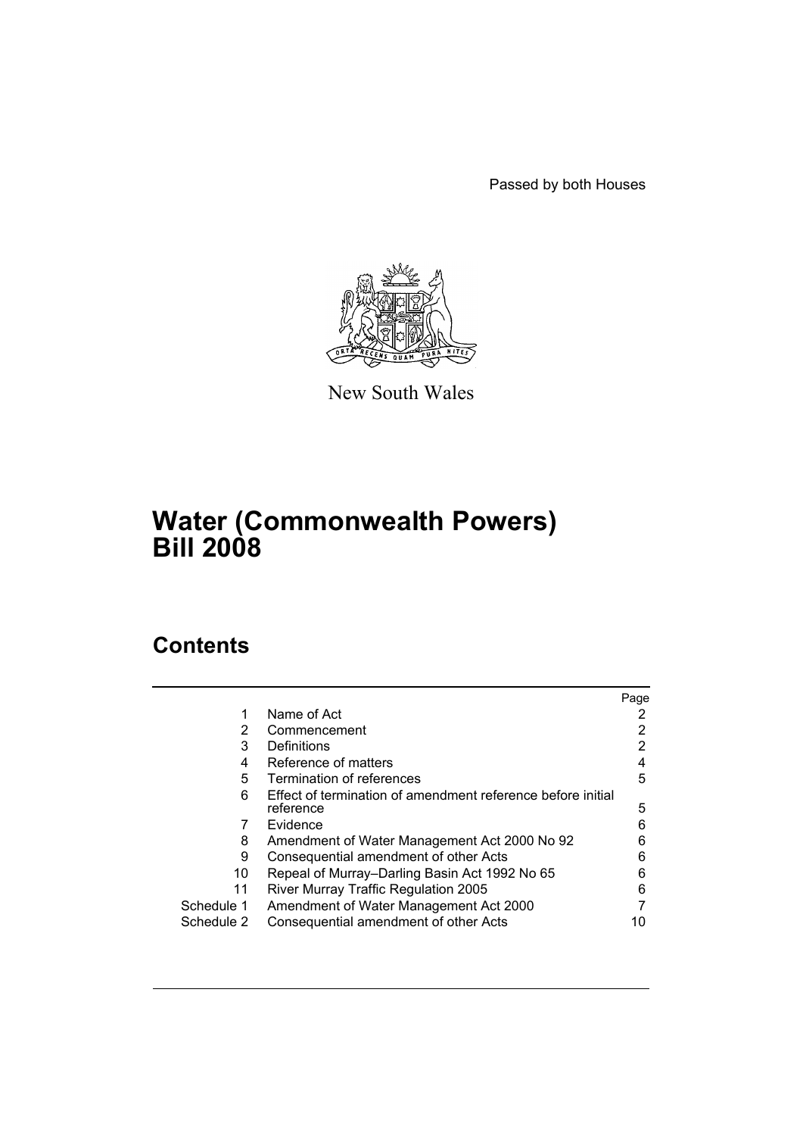Passed by both Houses



New South Wales

# **Water (Commonwealth Powers) Bill 2008**

## **Contents**

|            |                                                             | Page |
|------------|-------------------------------------------------------------|------|
|            | Name of Act                                                 |      |
| 2          | Commencement                                                |      |
| 3          | Definitions                                                 | 2    |
| 4          | Reference of matters                                        | 4    |
| 5          | Termination of references                                   | 5    |
| 6          | Effect of termination of amendment reference before initial |      |
|            | reference                                                   | 5    |
|            | Evidence                                                    | 6    |
| 8          | Amendment of Water Management Act 2000 No 92                | 6    |
| 9          | Consequential amendment of other Acts                       | 6    |
| 10         | Repeal of Murray-Darling Basin Act 1992 No 65               | 6    |
| 11         | River Murray Traffic Regulation 2005                        | 6    |
| Schedule 1 | Amendment of Water Management Act 2000                      |      |
| Schedule 2 | Consequential amendment of other Acts                       |      |
|            |                                                             |      |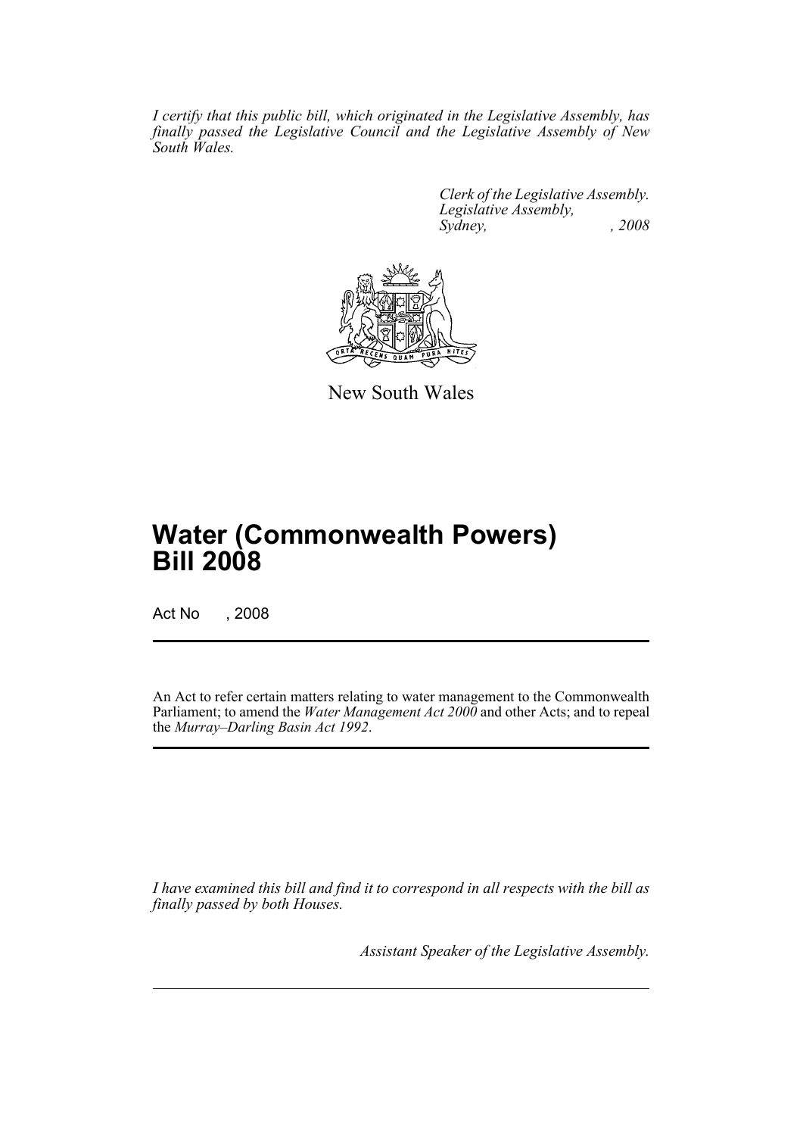*I certify that this public bill, which originated in the Legislative Assembly, has finally passed the Legislative Council and the Legislative Assembly of New South Wales.*

> *Clerk of the Legislative Assembly. Legislative Assembly, Sydney, , 2008*



New South Wales

# **Water (Commonwealth Powers) Bill 2008**

Act No , 2008

An Act to refer certain matters relating to water management to the Commonwealth Parliament; to amend the *Water Management Act 2000* and other Acts; and to repeal the *Murray–Darling Basin Act 1992*.

*I have examined this bill and find it to correspond in all respects with the bill as finally passed by both Houses.*

*Assistant Speaker of the Legislative Assembly.*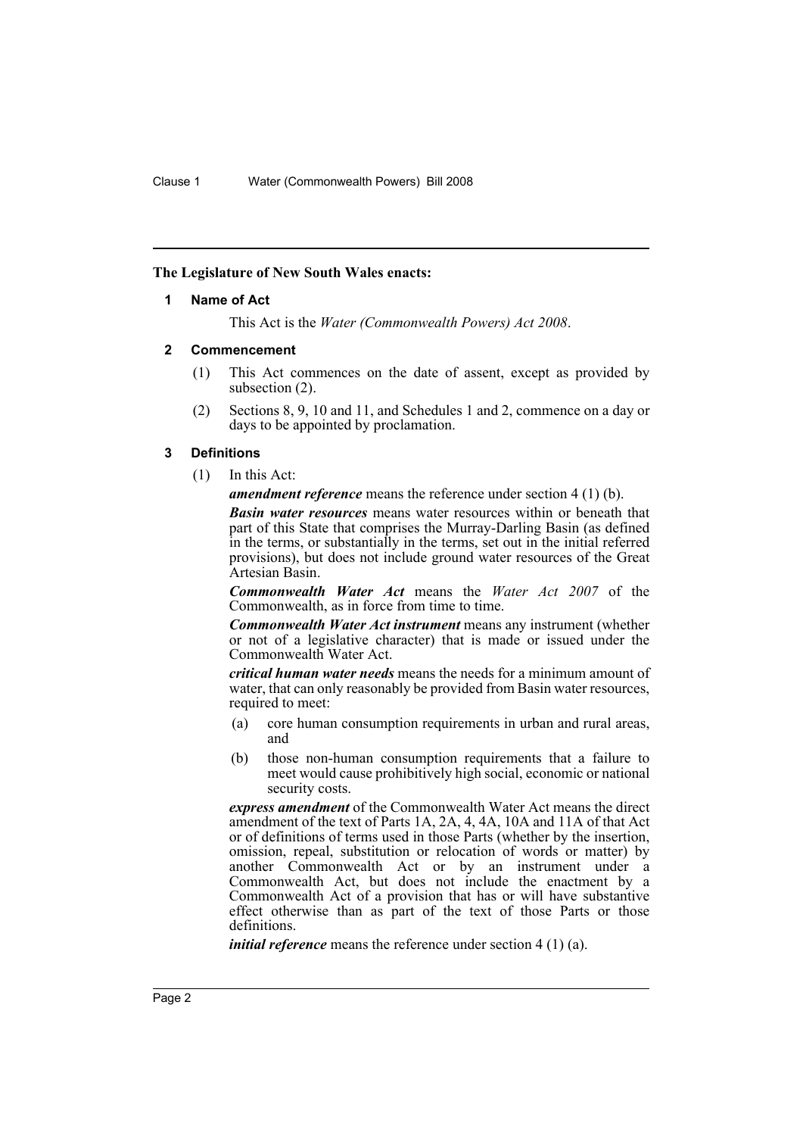#### <span id="page-2-0"></span>**The Legislature of New South Wales enacts:**

#### **1 Name of Act**

This Act is the *Water (Commonwealth Powers) Act 2008*.

#### <span id="page-2-1"></span>**2 Commencement**

- (1) This Act commences on the date of assent, except as provided by subsection (2).
- (2) Sections 8, 9, 10 and 11, and Schedules 1 and 2, commence on a day or days to be appointed by proclamation.

#### <span id="page-2-2"></span>**3 Definitions**

(1) In this Act:

*amendment reference* means the reference under section 4 (1) (b).

*Basin water resources* means water resources within or beneath that part of this State that comprises the Murray-Darling Basin (as defined in the terms, or substantially in the terms, set out in the initial referred provisions), but does not include ground water resources of the Great Artesian Basin.

*Commonwealth Water Act* means the *Water Act 2007* of the Commonwealth, as in force from time to time.

*Commonwealth Water Act instrument* means any instrument (whether or not of a legislative character) that is made or issued under the Commonwealth Water Act.

*critical human water needs* means the needs for a minimum amount of water, that can only reasonably be provided from Basin water resources, required to meet:

- (a) core human consumption requirements in urban and rural areas, and
- (b) those non-human consumption requirements that a failure to meet would cause prohibitively high social, economic or national security costs.

*express amendment* of the Commonwealth Water Act means the direct amendment of the text of Parts 1A, 2A, 4, 4A, 10A and 11A of that Act or of definitions of terms used in those Parts (whether by the insertion, omission, repeal, substitution or relocation of words or matter) by another Commonwealth Act or by an instrument under a Commonwealth Act, but does not include the enactment by a Commonwealth Act of a provision that has or will have substantive effect otherwise than as part of the text of those Parts or those definitions.

*initial reference* means the reference under section 4 (1) (a).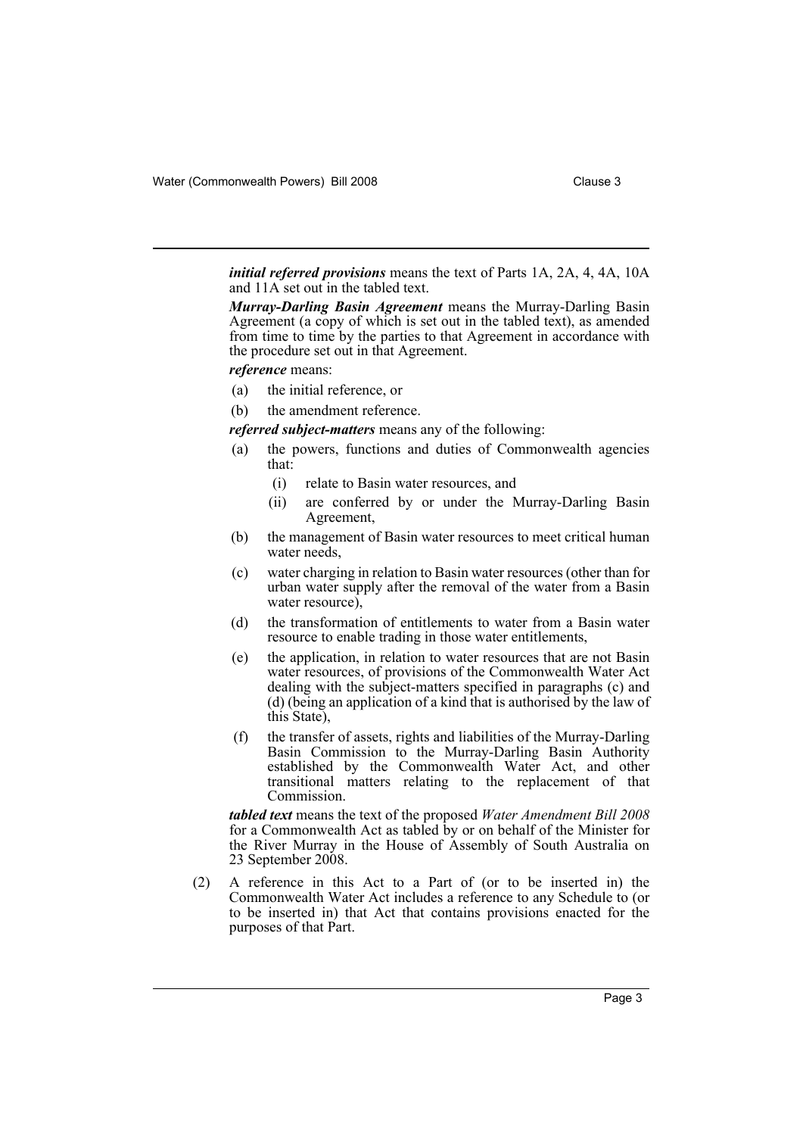*initial referred provisions* means the text of Parts 1A, 2A, 4, 4A, 10A and 11A set out in the tabled text.

*Murray-Darling Basin Agreement* means the Murray-Darling Basin Agreement (a copy of which is set out in the tabled text), as amended from time to time by the parties to that Agreement in accordance with the procedure set out in that Agreement.

#### *reference* means:

- (a) the initial reference, or
- (b) the amendment reference.

*referred subject-matters* means any of the following:

- (a) the powers, functions and duties of Commonwealth agencies that:
	- (i) relate to Basin water resources, and
	- (ii) are conferred by or under the Murray-Darling Basin Agreement,
- (b) the management of Basin water resources to meet critical human water needs,
- (c) water charging in relation to Basin water resources (other than for urban water supply after the removal of the water from a Basin water resource),
- (d) the transformation of entitlements to water from a Basin water resource to enable trading in those water entitlements,
- (e) the application, in relation to water resources that are not Basin water resources, of provisions of the Commonwealth Water Act dealing with the subject-matters specified in paragraphs (c) and (d) (being an application of a kind that is authorised by the law of this State),
- (f) the transfer of assets, rights and liabilities of the Murray-Darling Basin Commission to the Murray-Darling Basin Authority established by the Commonwealth Water Act, and other transitional matters relating to the replacement of that Commission.

*tabled text* means the text of the proposed *Water Amendment Bill 2008* for a Commonwealth Act as tabled by or on behalf of the Minister for the River Murray in the House of Assembly of South Australia on 23 September 2008.

(2) A reference in this Act to a Part of (or to be inserted in) the Commonwealth Water Act includes a reference to any Schedule to (or to be inserted in) that Act that contains provisions enacted for the purposes of that Part.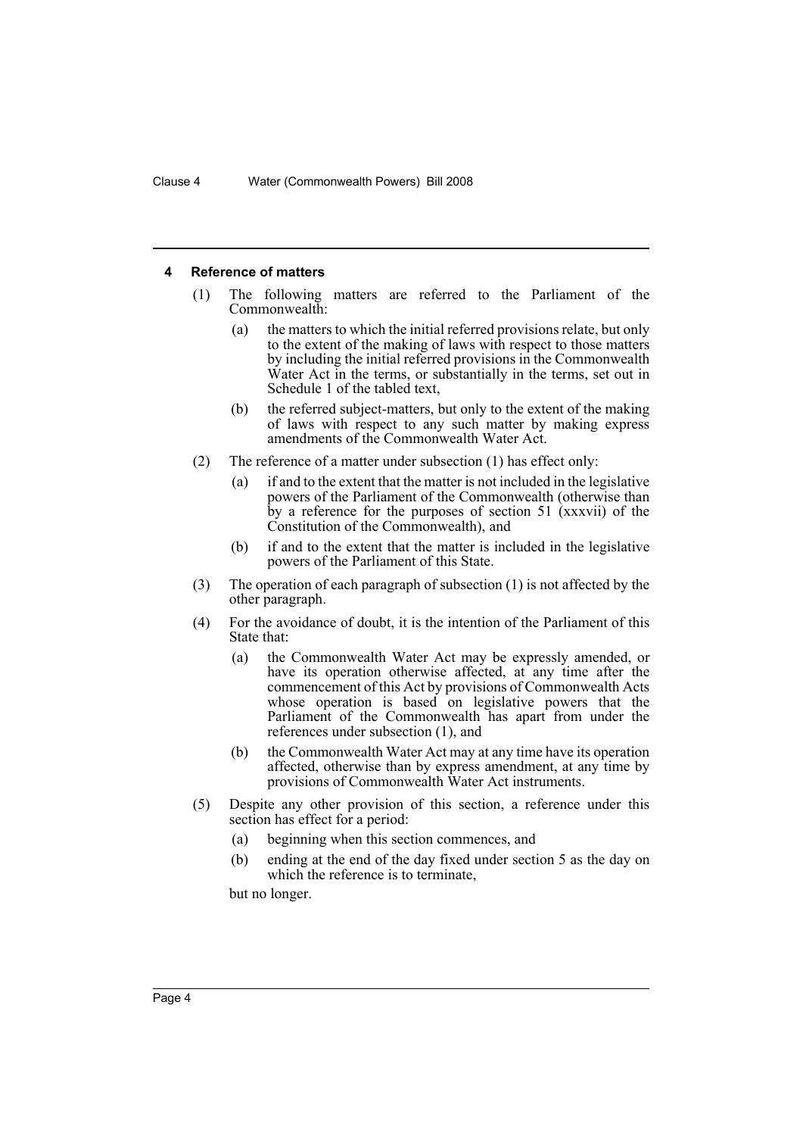#### <span id="page-4-0"></span>**4 Reference of matters**

- (1) The following matters are referred to the Parliament of the Commonwealth:
	- (a) the matters to which the initial referred provisions relate, but only to the extent of the making of laws with respect to those matters by including the initial referred provisions in the Commonwealth Water Act in the terms, or substantially in the terms, set out in Schedule 1 of the tabled text,
	- (b) the referred subject-matters, but only to the extent of the making of laws with respect to any such matter by making express amendments of the Commonwealth Water Act.
- (2) The reference of a matter under subsection (1) has effect only:
	- (a) if and to the extent that the matter is not included in the legislative powers of the Parliament of the Commonwealth (otherwise than by a reference for the purposes of section 51 (xxxvii) of the Constitution of the Commonwealth), and
	- (b) if and to the extent that the matter is included in the legislative powers of the Parliament of this State.
- (3) The operation of each paragraph of subsection (1) is not affected by the other paragraph.
- (4) For the avoidance of doubt, it is the intention of the Parliament of this State that:
	- (a) the Commonwealth Water Act may be expressly amended, or have its operation otherwise affected, at any time after the commencement of this Act by provisions of Commonwealth Acts whose operation is based on legislative powers that the Parliament of the Commonwealth has apart from under the references under subsection (1), and
	- (b) the Commonwealth Water Act may at any time have its operation affected, otherwise than by express amendment, at any time by provisions of Commonwealth Water Act instruments.
- (5) Despite any other provision of this section, a reference under this section has effect for a period:
	- (a) beginning when this section commences, and
	- (b) ending at the end of the day fixed under section 5 as the day on which the reference is to terminate,

but no longer.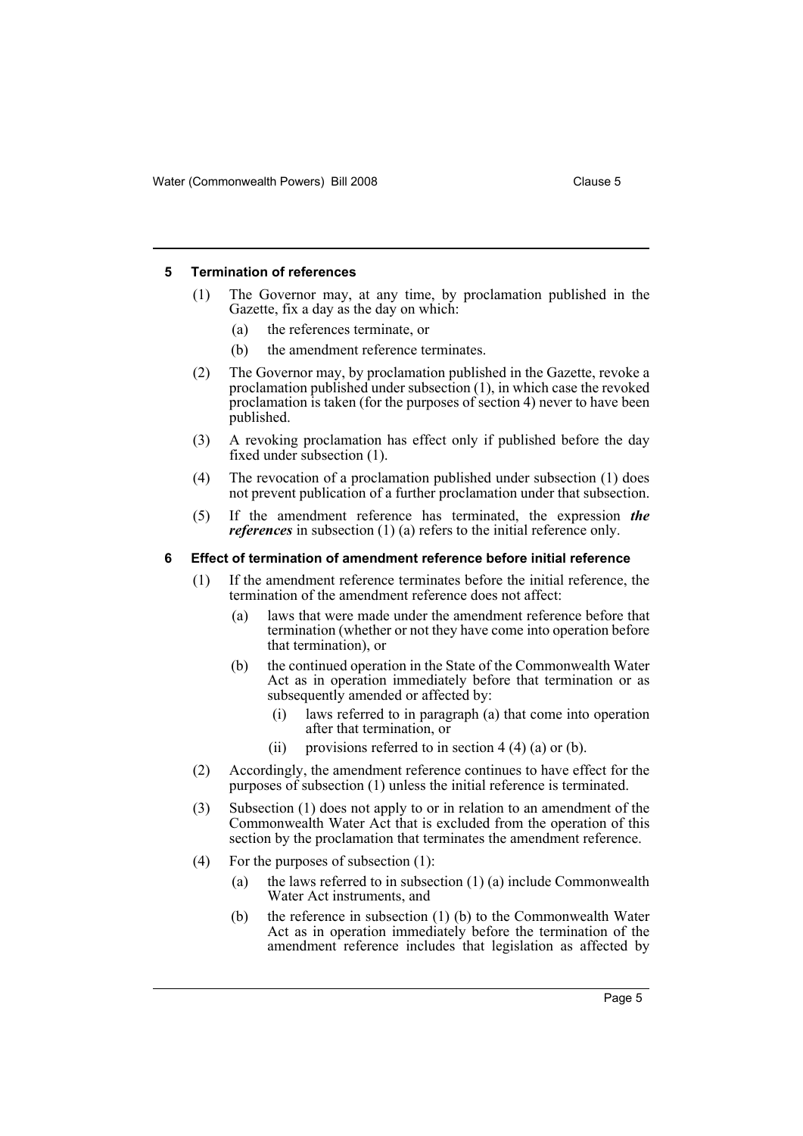#### <span id="page-5-0"></span>**5 Termination of references**

- (1) The Governor may, at any time, by proclamation published in the Gazette, fix a day as the day on which:
	- (a) the references terminate, or
	- (b) the amendment reference terminates.
- (2) The Governor may, by proclamation published in the Gazette, revoke a proclamation published under subsection (1), in which case the revoked proclamation is taken (for the purposes of section 4) never to have been published.
- (3) A revoking proclamation has effect only if published before the day fixed under subsection (1).
- (4) The revocation of a proclamation published under subsection (1) does not prevent publication of a further proclamation under that subsection.
- (5) If the amendment reference has terminated, the expression *the references* in subsection (1) (a) refers to the initial reference only.

#### <span id="page-5-1"></span>**6 Effect of termination of amendment reference before initial reference**

- (1) If the amendment reference terminates before the initial reference, the termination of the amendment reference does not affect:
	- (a) laws that were made under the amendment reference before that termination (whether or not they have come into operation before that termination), or
	- (b) the continued operation in the State of the Commonwealth Water Act as in operation immediately before that termination or as subsequently amended or affected by:
		- (i) laws referred to in paragraph (a) that come into operation after that termination, or
		- (ii) provisions referred to in section  $4(4)(a)$  or (b).
- (2) Accordingly, the amendment reference continues to have effect for the purposes of subsection (1) unless the initial reference is terminated.
- (3) Subsection (1) does not apply to or in relation to an amendment of the Commonwealth Water Act that is excluded from the operation of this section by the proclamation that terminates the amendment reference.
- (4) For the purposes of subsection (1):
	- (a) the laws referred to in subsection (1) (a) include Commonwealth Water Act instruments, and
	- (b) the reference in subsection (1) (b) to the Commonwealth Water Act as in operation immediately before the termination of the amendment reference includes that legislation as affected by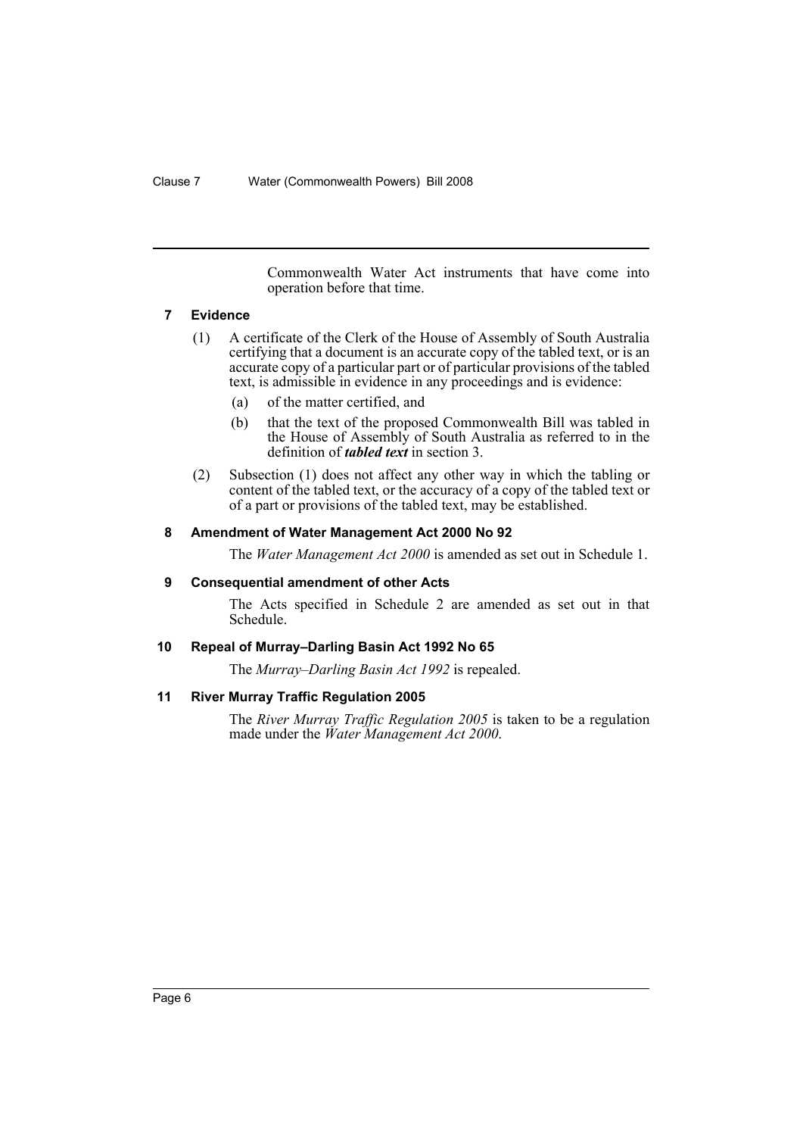Commonwealth Water Act instruments that have come into operation before that time.

#### <span id="page-6-0"></span>**7 Evidence**

- (1) A certificate of the Clerk of the House of Assembly of South Australia certifying that a document is an accurate copy of the tabled text, or is an accurate copy of a particular part or of particular provisions of the tabled text, is admissible in evidence in any proceedings and is evidence:
	- (a) of the matter certified, and
	- (b) that the text of the proposed Commonwealth Bill was tabled in the House of Assembly of South Australia as referred to in the definition of *tabled text* in section 3.
- (2) Subsection (1) does not affect any other way in which the tabling or content of the tabled text, or the accuracy of a copy of the tabled text or of a part or provisions of the tabled text, may be established.

#### <span id="page-6-1"></span>**8 Amendment of Water Management Act 2000 No 92**

The *Water Management Act 2000* is amended as set out in Schedule 1.

#### <span id="page-6-2"></span>**9 Consequential amendment of other Acts**

The Acts specified in Schedule 2 are amended as set out in that Schedule.

#### <span id="page-6-3"></span>**10 Repeal of Murray–Darling Basin Act 1992 No 65**

The *Murray–Darling Basin Act 1992* is repealed.

#### <span id="page-6-4"></span>**11 River Murray Traffic Regulation 2005**

The *River Murray Traffic Regulation 2005* is taken to be a regulation made under the *Water Management Act 2000*.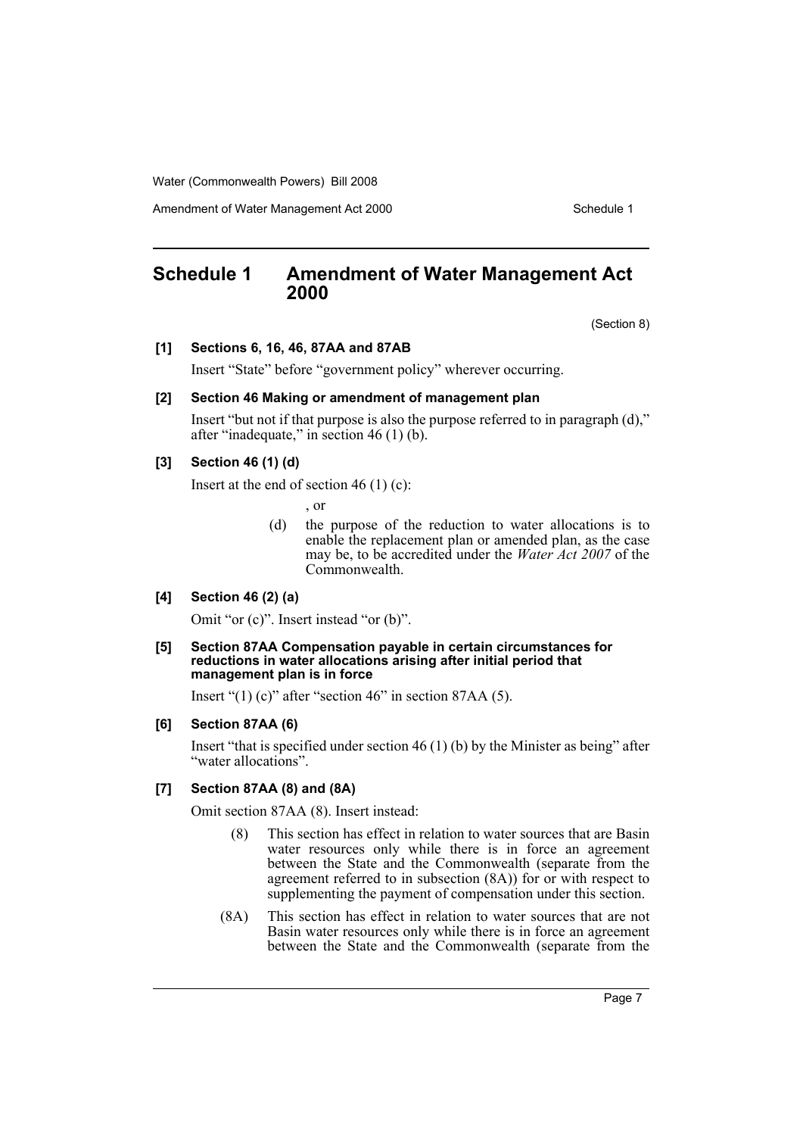Amendment of Water Management Act 2000 Schedule 1

## <span id="page-7-0"></span>**Schedule 1 Amendment of Water Management Act 2000**

(Section 8)

#### **[1] Sections 6, 16, 46, 87AA and 87AB**

Insert "State" before "government policy" wherever occurring.

#### **[2] Section 46 Making or amendment of management plan**

Insert "but not if that purpose is also the purpose referred to in paragraph (d)," after "inadequate," in section 46 (1) (b).

#### **[3] Section 46 (1) (d)**

Insert at the end of section 46  $(1)$  (c):

, or

(d) the purpose of the reduction to water allocations is to enable the replacement plan or amended plan, as the case may be, to be accredited under the *Water Act 2007* of the Commonwealth.

#### **[4] Section 46 (2) (a)**

Omit "or (c)". Insert instead "or (b)".

#### **[5] Section 87AA Compensation payable in certain circumstances for reductions in water allocations arising after initial period that management plan is in force**

Insert "(1) (c)" after "section 46" in section 87AA (5).

#### **[6] Section 87AA (6)**

Insert "that is specified under section 46 (1) (b) by the Minister as being" after "water allocations".

#### **[7] Section 87AA (8) and (8A)**

Omit section 87AA (8). Insert instead:

- (8) This section has effect in relation to water sources that are Basin water resources only while there is in force an agreement between the State and the Commonwealth (separate from the agreement referred to in subsection (8A)) for or with respect to supplementing the payment of compensation under this section.
- (8A) This section has effect in relation to water sources that are not Basin water resources only while there is in force an agreement between the State and the Commonwealth (separate from the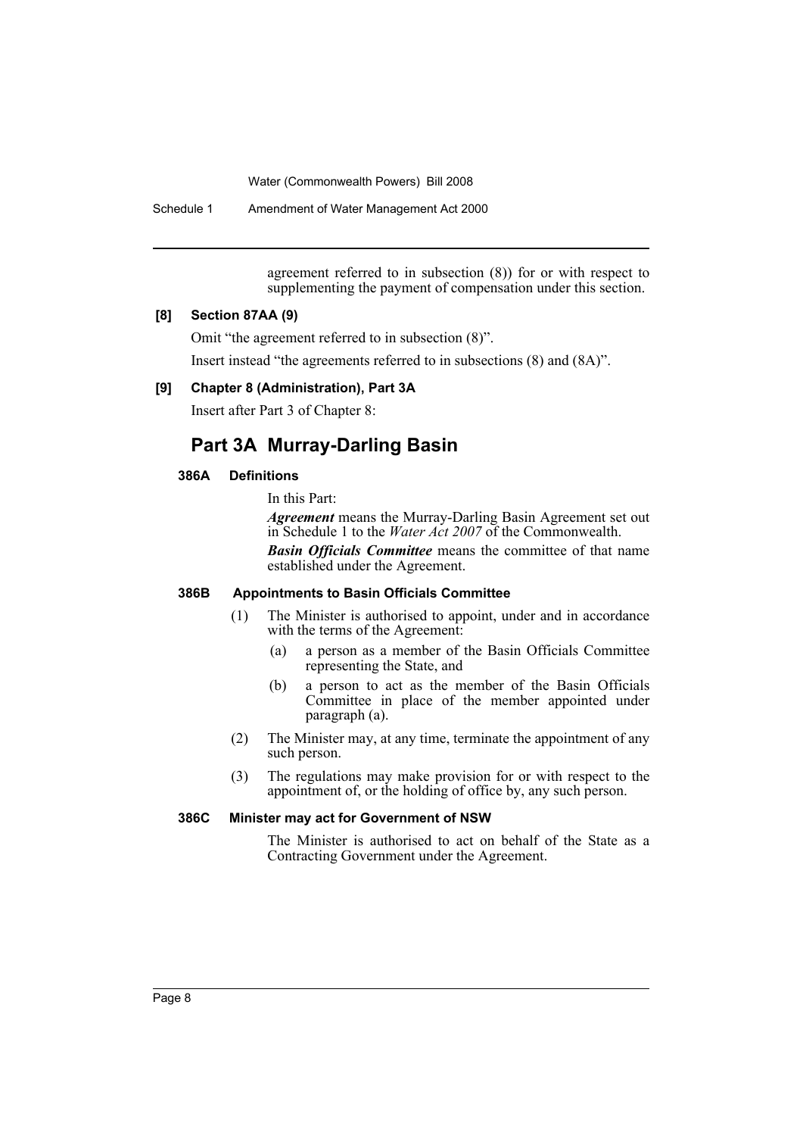Schedule 1 Amendment of Water Management Act 2000

agreement referred to in subsection (8)) for or with respect to supplementing the payment of compensation under this section.

#### **[8] Section 87AA (9)**

Omit "the agreement referred to in subsection (8)".

Insert instead "the agreements referred to in subsections (8) and (8A)".

#### **[9] Chapter 8 (Administration), Part 3A**

Insert after Part 3 of Chapter 8:

## **Part 3A Murray-Darling Basin**

#### **386A Definitions**

In this Part:

*Agreement* means the Murray-Darling Basin Agreement set out in Schedule 1 to the *Water Act 2007* of the Commonwealth. *Basin Officials Committee* means the committee of that name

established under the Agreement.

#### **386B Appointments to Basin Officials Committee**

- (1) The Minister is authorised to appoint, under and in accordance with the terms of the Agreement:
	- (a) a person as a member of the Basin Officials Committee representing the State, and
	- (b) a person to act as the member of the Basin Officials Committee in place of the member appointed under paragraph (a).
- (2) The Minister may, at any time, terminate the appointment of any such person.
- (3) The regulations may make provision for or with respect to the appointment of, or the holding of office by, any such person.

#### **386C Minister may act for Government of NSW**

The Minister is authorised to act on behalf of the State as a Contracting Government under the Agreement.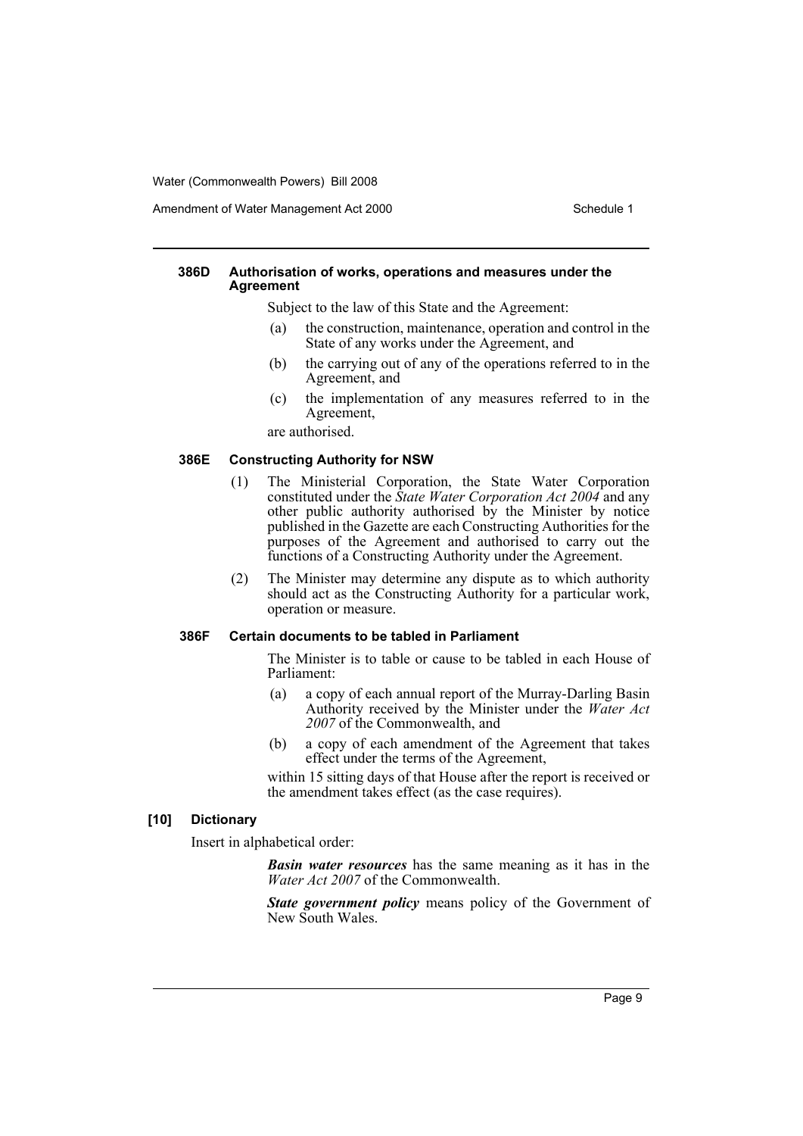Amendment of Water Management Act 2000 Schedule 1

#### **386D Authorisation of works, operations and measures under the Agreement**

Subject to the law of this State and the Agreement:

- (a) the construction, maintenance, operation and control in the State of any works under the Agreement, and
- (b) the carrying out of any of the operations referred to in the Agreement, and
- (c) the implementation of any measures referred to in the Agreement,

are authorised.

#### **386E Constructing Authority for NSW**

- (1) The Ministerial Corporation, the State Water Corporation constituted under the *State Water Corporation Act 2004* and any other public authority authorised by the Minister by notice published in the Gazette are each Constructing Authorities for the purposes of the Agreement and authorised to carry out the functions of a Constructing Authority under the Agreement.
- (2) The Minister may determine any dispute as to which authority should act as the Constructing Authority for a particular work, operation or measure.

#### **386F Certain documents to be tabled in Parliament**

The Minister is to table or cause to be tabled in each House of Parliament:

- (a) a copy of each annual report of the Murray-Darling Basin Authority received by the Minister under the *Water Act 2007* of the Commonwealth, and
- (b) a copy of each amendment of the Agreement that takes effect under the terms of the Agreement,

within 15 sitting days of that House after the report is received or the amendment takes effect (as the case requires).

#### **[10] Dictionary**

Insert in alphabetical order:

*Basin water resources* has the same meaning as it has in the *Water Act 2007* of the Commonwealth.

*State government policy* means policy of the Government of New South Wales.